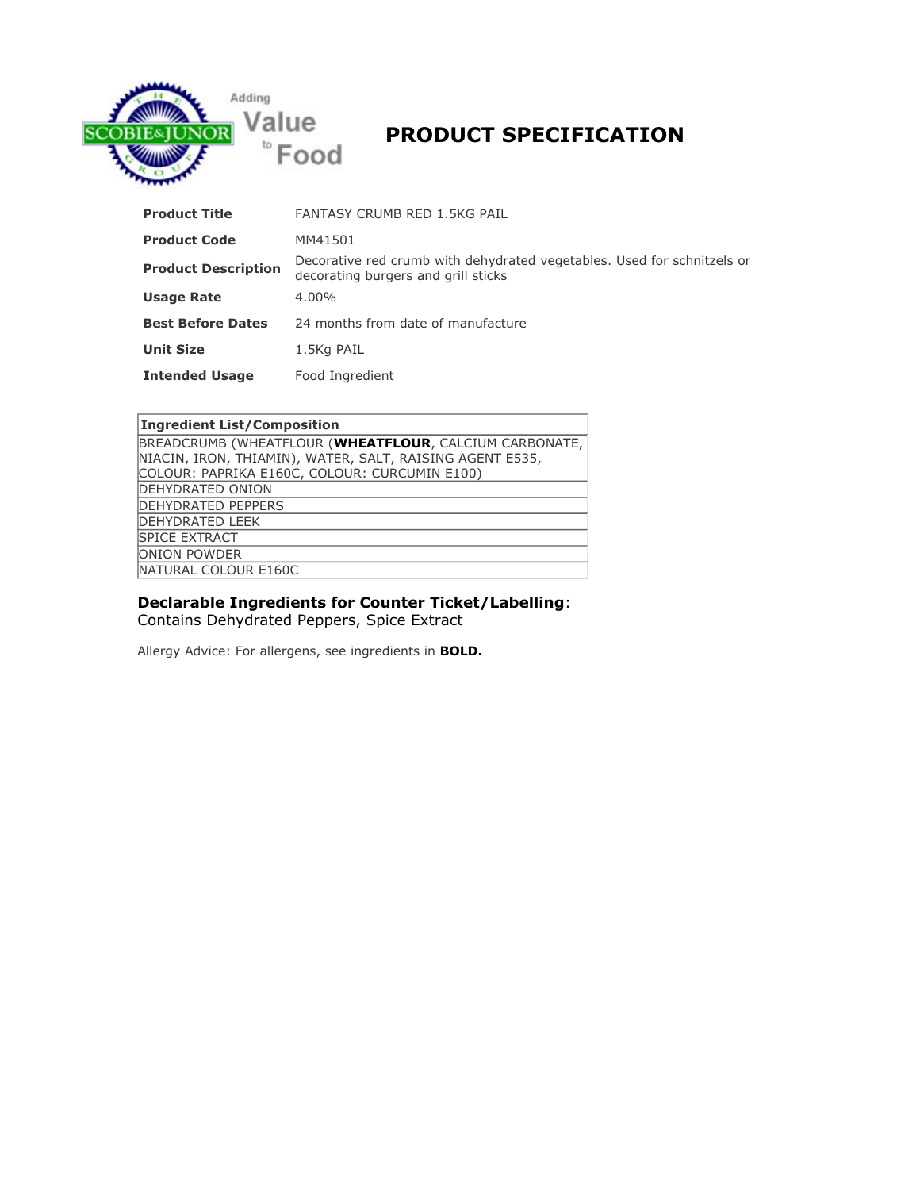

# **PRODUCT SPECIFICATION**

| <b>Product Title</b>       | <b>FANTASY CRUMB RED 1.5KG PAIL</b>                                                                            |
|----------------------------|----------------------------------------------------------------------------------------------------------------|
| <b>Product Code</b>        | MM41501                                                                                                        |
| <b>Product Description</b> | Decorative red crumb with dehydrated vegetables. Used for schnitzels or<br>decorating burgers and grill sticks |
| <b>Usage Rate</b>          | $4.00\%$                                                                                                       |
| <b>Best Before Dates</b>   | 24 months from date of manufacture                                                                             |
| <b>Unit Size</b>           | 1.5Kg PAIL                                                                                                     |
| <b>Intended Usage</b>      | Food Ingredient                                                                                                |

| Ingredient List/Composition                              |
|----------------------------------------------------------|
| BREADCRUMB (WHEATFLOUR (WHEATFLOUR, CALCIUM CARBONATE,   |
| NIACIN, IRON, THIAMIN), WATER, SALT, RAISING AGENT E535, |
| COLOUR: PAPRIKA E160C, COLOUR: CURCUMIN E100)            |
| DEHYDRATED ONION                                         |
| <b>DEHYDRATED PEPPERS</b>                                |
| <b>DEHYDRATED LEEK</b>                                   |
| <b>SPICE EXTRACT</b>                                     |
| <b>ONION POWDER</b>                                      |
| NATURAL COLOUR E160C                                     |

## **Declarable Ingredients for Counter Ticket/Labelling: Contains Dehydrated Peppers, Spice Extract**

**Allergy Advice: For allergens, see ingredients in BOLD.**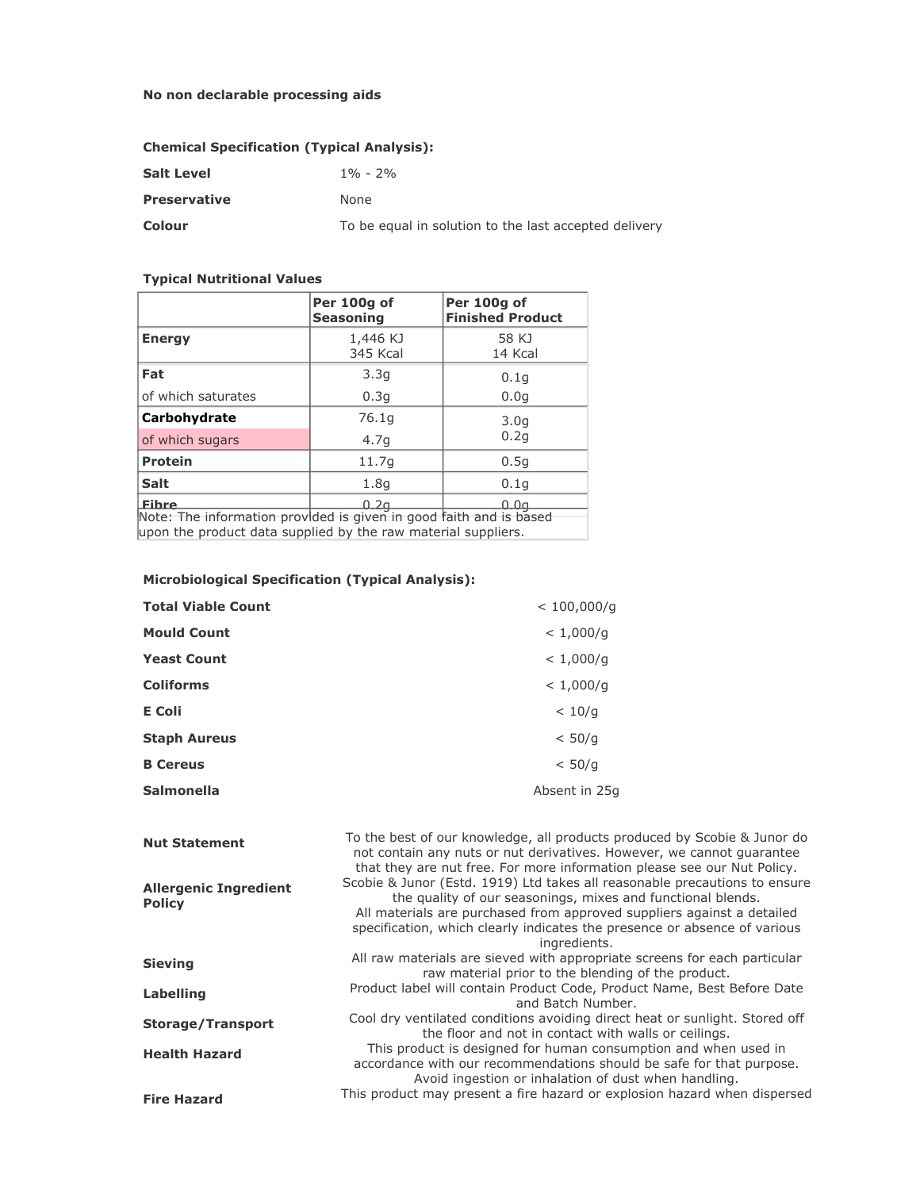## **No non declarable processing aids**

## **Chemical Specification (Typical Analysis):**

| <b>Salt Level</b>   | $1\% - 2\%$                                           |
|---------------------|-------------------------------------------------------|
| <b>Preservative</b> | None                                                  |
| Colour              | To be equal in solution to the last accepted delivery |

#### **Typical Nutritional Values**

|                                                                    | Per 100g of<br><b>Seasoning</b> | Per 100g of<br><b>Finished Product</b> |
|--------------------------------------------------------------------|---------------------------------|----------------------------------------|
| <b>Energy</b>                                                      | 1,446 KJ<br><b>345 Kcal</b>     | 58 KJ<br>14 Kcal                       |
| Fat                                                                | 3.3q                            | 0.1q                                   |
| of which saturates                                                 | 0.3q                            | 0.0q                                   |
| Carbohydrate                                                       | 76.1g                           | 3.0q                                   |
| of which sugars                                                    | 4.7q                            | 0.2q                                   |
| <b>Protein</b>                                                     | 11.7g                           | 0.5q                                   |
| <b>Salt</b>                                                        | 1.8q                            | 0.1q                                   |
| <b>Eibre</b>                                                       | 0.2g                            | 0.0a                                   |
| Note: The information provided is given in good faith and is based |                                 |                                        |

**upon the product data supplied by the raw material suppliers.**

| <b>Microbiological Specification (Typical Analysis):</b> |  |
|----------------------------------------------------------|--|
|----------------------------------------------------------|--|

| <b>Total Viable Count</b> | < 100,000/q   |
|---------------------------|---------------|
| <b>Mould Count</b>        | < 1,000/q     |
| <b>Yeast Count</b>        | < 1,000/q     |
| <b>Coliforms</b>          | < 1,000/q     |
| <b>E</b> Coli             | < 10/q        |
| <b>Staph Aureus</b>       | < 50/q        |
| <b>B</b> Cereus           | < 50/q        |
| <b>Salmonella</b>         | Absent in 25q |

| <b>Nut Statement</b>                          | To the best of our knowledge, all products produced by Scobie & Junor do<br>not contain any nuts or nut derivatives. However, we cannot quarantee<br>that they are nut free. For more information please see our Nut Policy.                                                                                     |
|-----------------------------------------------|------------------------------------------------------------------------------------------------------------------------------------------------------------------------------------------------------------------------------------------------------------------------------------------------------------------|
| <b>Allergenic Ingredient</b><br><b>Policy</b> | Scobie & Junor (Estd. 1919) Ltd takes all reasonable precautions to ensure<br>the quality of our seasonings, mixes and functional blends.<br>All materials are purchased from approved suppliers against a detailed<br>specification, which clearly indicates the presence or absence of various<br>ingredients. |
| <b>Sieving</b>                                | All raw materials are sieved with appropriate screens for each particular<br>raw material prior to the blending of the product.                                                                                                                                                                                  |
| <b>Labelling</b>                              | Product label will contain Product Code, Product Name, Best Before Date<br>and Batch Number.                                                                                                                                                                                                                     |
| <b>Storage/Transport</b>                      | Cool dry ventilated conditions avoiding direct heat or sunlight. Stored off<br>the floor and not in contact with walls or ceilings.                                                                                                                                                                              |
| <b>Health Hazard</b>                          | This product is designed for human consumption and when used in<br>accordance with our recommendations should be safe for that purpose.<br>Avoid ingestion or inhalation of dust when handling.                                                                                                                  |
| <b>Fire Hazard</b>                            | This product may present a fire hazard or explosion hazard when dispersed                                                                                                                                                                                                                                        |